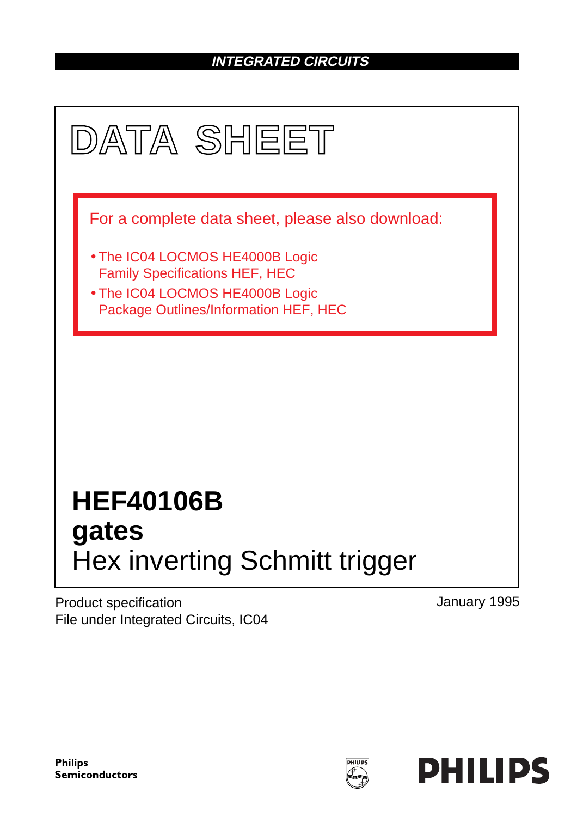### **INTEGRATED CIRCUITS**



Product specification File under Integrated Circuits, IC04 January 1995

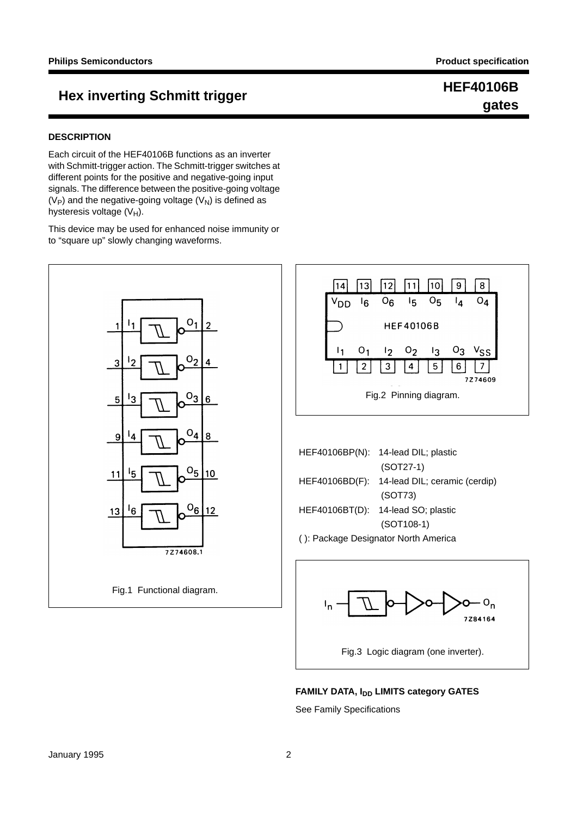# **gates**

### **HEF40106B**<br> **HEF40106B**

#### **DESCRIPTION**

Each circuit of the HEF40106B functions as an inverter with Schmitt-trigger action. The Schmitt-trigger switches at different points for the positive and negative-going input signals. The difference between the positive-going voltage  $(V_P)$  and the negative-going voltage  $(V_N)$  is defined as hysteresis voltage  $(V_H)$ .

This device may be used for enhanced noise immunity or to "square up" slowly changing waveforms.





|                                      | HEF40106BP(N): 14-lead DIL; plastic          |  |  |  |
|--------------------------------------|----------------------------------------------|--|--|--|
|                                      | $(SOT27-1)$                                  |  |  |  |
|                                      | HEF40106BD(F): 14-lead DIL; ceramic (cerdip) |  |  |  |
|                                      | (SOT73)                                      |  |  |  |
|                                      | HEF40106BT(D): 14-lead SO; plastic           |  |  |  |
|                                      | $(SOT108-1)$                                 |  |  |  |
| (): Package Designator North America |                                              |  |  |  |



**FAMILY DATA, IDD LIMITS category GATES** 

See Family Specifications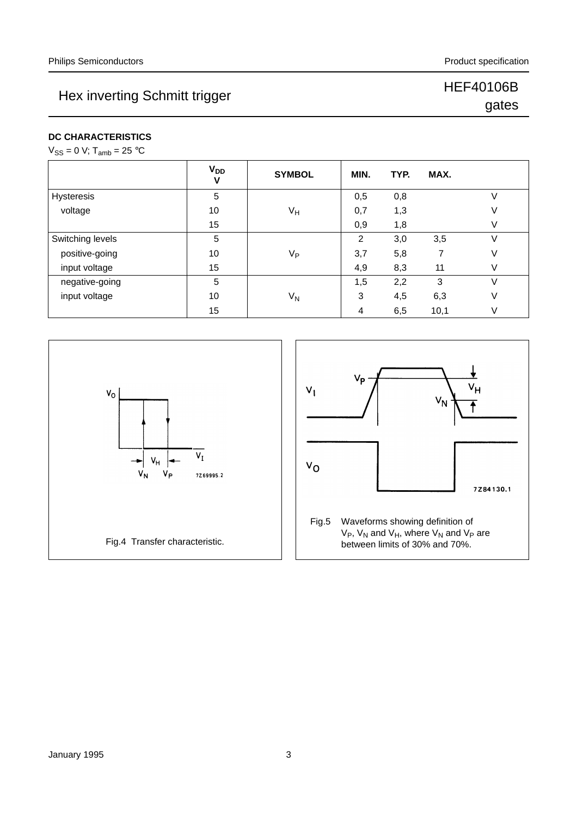## Hex inverting Schmitt trigger HEF40106B

# gates

**DC CHARACTERISTICS**

| $V_{SS}$ = 0 V; T <sub>amb</sub> = 25 °C |  |
|------------------------------------------|--|
|------------------------------------------|--|

|                   | V <sub>DD</sub><br>V | <b>SYMBOL</b>  | MIN. | TYP. | MAX. |   |
|-------------------|----------------------|----------------|------|------|------|---|
| <b>Hysteresis</b> | 5                    |                | 0,5  | 0,8  |      |   |
| voltage           | 10                   | VH             | 0,7  | 1,3  |      | V |
|                   | 15                   |                | 0,9  | 1,8  |      | V |
| Switching levels  | 5                    |                | 2    | 3,0  | 3,5  | V |
| positive-going    | 10                   | V <sub>P</sub> | 3,7  | 5,8  |      | V |
| input voltage     | 15                   |                | 4,9  | 8,3  | 11   | V |
| negative-going    | 5                    |                | 1,5  | 2,2  | 3    | V |
| input voltage     | 10                   | $V_{N}$        | 3    | 4,5  | 6,3  | V |
|                   | 15                   |                | 4    | 6,5  | 10,1 | V |



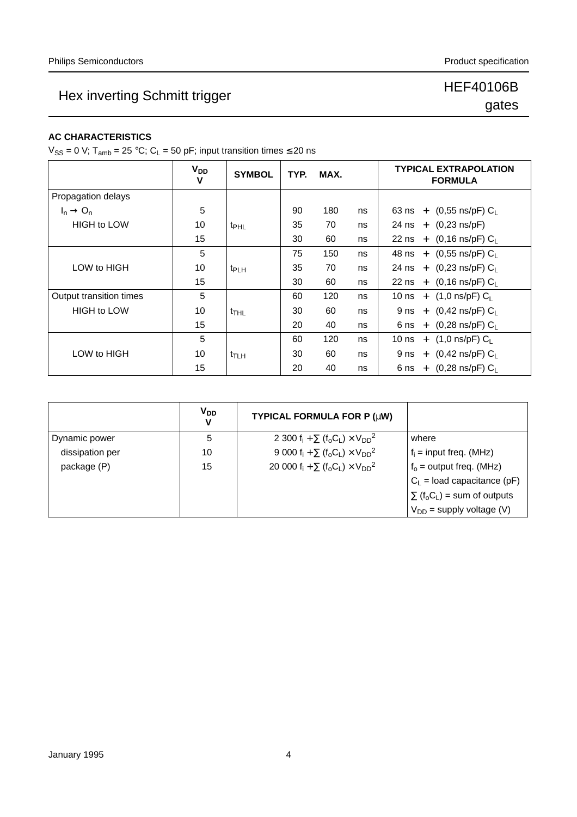## Hex inverting Schmitt trigger HEF40106B

# gates

#### **AC CHARACTERISTICS**

 $V_{SS} = 0$  V; T<sub>amb</sub> = 25 °C; C<sub>L</sub> = 50 pF; input transition times  $\leq$  20 ns

|                         | <b>V<sub>DD</sub></b><br>v | <b>SYMBOL</b>    | TYP. | MAX. |    | <b>TYPICAL EXTRAPOLATION</b><br><b>FORMULA</b> |
|-------------------------|----------------------------|------------------|------|------|----|------------------------------------------------|
| Propagation delays      |                            |                  |      |      |    |                                                |
| $I_n \rightarrow O_n$   | 5                          |                  | 90   | 180  | ns | 63 ns + $(0,55 \text{ ns/pF}) C_L$             |
| <b>HIGH to LOW</b>      | 10                         | t <sub>PHL</sub> | 35   | 70   | ns | 24 ns + $(0,23 \text{ ns/pF})$                 |
|                         | 15                         |                  | 30   | 60   | ns | 22 ns + $(0,16 \text{ ns/pF}) C_1$             |
|                         | 5                          |                  | 75   | 150  | ns | 48 ns + $(0,55 \text{ ns/pF}) C_1$             |
| LOW to HIGH             | 10                         | t <sub>PLH</sub> | 35   | 70   | ns | 24 ns + $(0,23 \text{ ns/pF}) C_L$             |
|                         | 15                         |                  | 30   | 60   | ns | 22 ns + $(0,16 \text{ ns/pF}) C_1$             |
| Output transition times | 5                          |                  | 60   | 120  | ns | 10 ns + $(1,0 \text{ ns/pF}) C_L$              |
| <b>HIGH to LOW</b>      | 10                         | t <sub>THL</sub> | 30   | 60   | ns | 9 ns + $(0,42 \text{ ns/pF}) C_L$              |
|                         | 15                         |                  | 20   | 40   | ns | 6 ns + $(0,28 \text{ ns/pF}) C_L$              |
|                         | 5                          |                  | 60   | 120  | ns | 10 ns + $(1,0 \text{ ns/pF}) C_L$              |
| LOW to HIGH             | 10                         | t <sub>TLH</sub> | 30   | 60   | ns | 9 ns + $(0,42 \text{ ns/pF}) C_L$              |
|                         | 15                         |                  | 20   | 40   | ns | 6 ns + $(0.28 \text{ ns/pF}) C_1$              |

|                 | <b>V<sub>DD</sub></b><br>v | TYPICAL FORMULA FOR P (µW)                    |                                                            |
|-----------------|----------------------------|-----------------------------------------------|------------------------------------------------------------|
| Dynamic power   | 5                          | 2 300 $f_i + \sum (f_o C_L) \times V_{DD}^2$  | where                                                      |
| dissipation per | 10                         | 9 000 $f_i + \sum (f_o C_l) \times V_{DD}^2$  | $f_i$ = input freq. (MHz)                                  |
| package (P)     | 15                         | 20 000 $f_i + \sum (f_o C_L) \times V_{DD}^2$ | $f_0$ = output freq. (MHz)                                 |
|                 |                            |                                               | $C_L$ = load capacitance (pF)                              |
|                 |                            |                                               | $\Sigma$ (f <sub>o</sub> C <sub>L</sub> ) = sum of outputs |
|                 |                            |                                               | $V_{DD}$ = supply voltage (V)                              |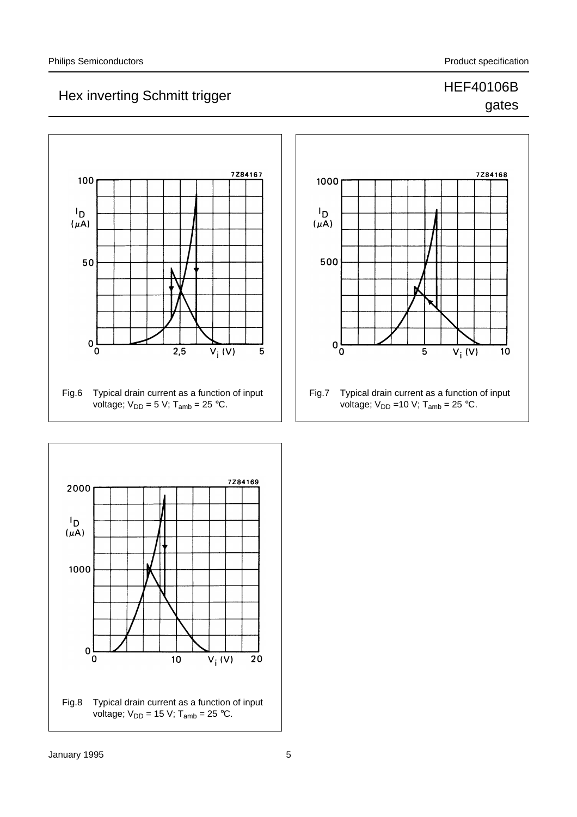### Hex inverting Schmitt trigger HEF40106B gates

### 7284167 100  $I_{\mathsf{D}}$  $(\mu A)$ 50  $\pmb{0}$  $\overline{2,5}$  $V_i$  (V)  $\overline{0}$ 5 Fig.6 Typical drain current as a function of input voltage;  $V_{DD} = 5$  V; T<sub>amb</sub> = 25 °C.



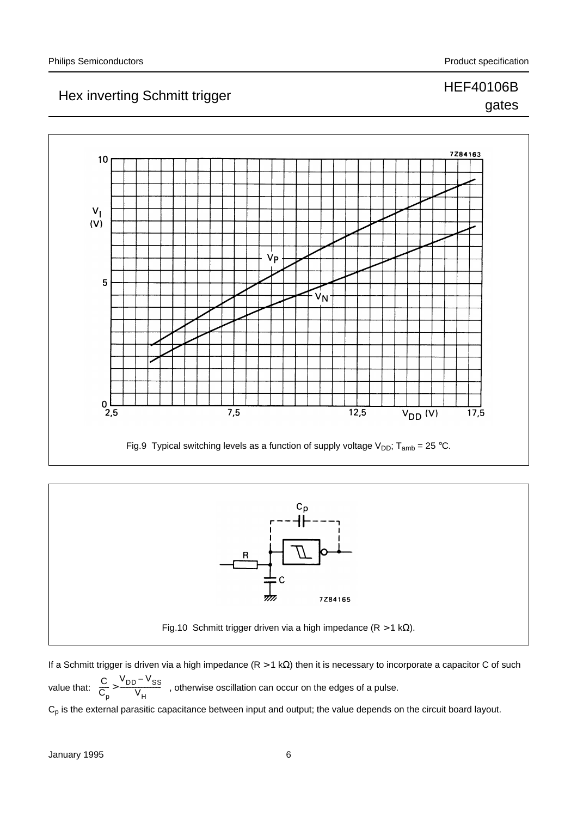### Hex inverting Schmitt trigger HEF40106B gates

## 7284163  $10$  $V_1$  $(V)$ V<sub>P</sub> 5  $\overline{v}_N$  $0\frac{L}{2,5}$  $12,5$  $7,5$  $V_{DD}$  (V)  $17,5$ Fig.9 Typical switching levels as a function of supply voltage  $V_{DD}$ ; T<sub>amb</sub> = 25 °C.



If a Schmitt trigger is driven via a high impedance (R > 1 kΩ) then it is necessary to incorporate a capacitor C of such value that:  $\frac{C}{C} > \frac{V_{DD} - V_{SS}}{V}$ , otherwise oscillation can occur on the edges of a pulse.  $C_p$  is the external parasitic capacitance between input and output; the value depends on the circuit board layout.  $\mathtt{C_p}$  $\frac{C}{C} > \frac{V_{DD} - V_{SS}}{V}$  $> \frac{V_{\text{H}}}{V_{\text{H}}}$